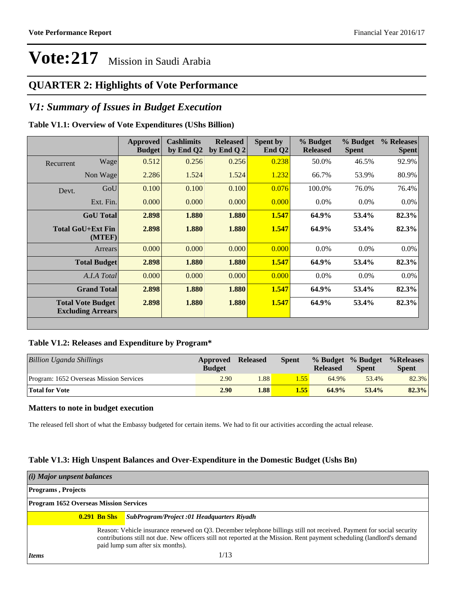### **QUARTER 2: Highlights of Vote Performance**

### *V1: Summary of Issues in Budget Execution*

#### **Table V1.1: Overview of Vote Expenditures (UShs Billion)**

|           |                                                      | Approved<br><b>Budget</b> | <b>Cashlimits</b><br>by End Q2 | <b>Released</b><br>by End Q $2$ | Spent by<br>End $Q2$ | % Budget<br><b>Released</b> | % Budget<br><b>Spent</b> | % Releases<br><b>Spent</b> |
|-----------|------------------------------------------------------|---------------------------|--------------------------------|---------------------------------|----------------------|-----------------------------|--------------------------|----------------------------|
| Recurrent | Wage                                                 | 0.512                     | 0.256                          | 0.256                           | 0.238                | 50.0%                       | 46.5%                    | 92.9%                      |
|           | Non Wage                                             | 2.286                     | 1.524                          | 1.524                           | 1.232                | 66.7%                       | 53.9%                    | 80.9%                      |
| Devt.     | GoU                                                  | 0.100                     | 0.100                          | 0.100                           | 0.076                | 100.0%                      | 76.0%                    | 76.4%                      |
|           | Ext. Fin.                                            | 0.000                     | 0.000                          | 0.000                           | 0.000                | $0.0\%$                     | $0.0\%$                  | 0.0%                       |
|           | <b>GoU</b> Total                                     | 2.898                     | 1.880                          | 1.880                           | 1.547                | 64.9%                       | 53.4%                    | 82.3%                      |
|           | Total GoU+Ext Fin<br>(MTEF)                          | 2.898                     | 1.880                          | 1.880                           | 1.547                | 64.9%                       | 53.4%                    | 82.3%                      |
|           | Arrears                                              | 0.000                     | 0.000                          | 0.000                           | 0.000                | $0.0\%$                     | $0.0\%$                  | 0.0%                       |
|           | <b>Total Budget</b>                                  | 2.898                     | 1.880                          | 1.880                           | 1.547                | 64.9%                       | 53.4%                    | 82.3%                      |
|           | A.I.A Total                                          | 0.000                     | 0.000                          | 0.000                           | 0.000                | $0.0\%$                     | $0.0\%$                  | $0.0\%$                    |
|           | <b>Grand Total</b>                                   | 2.898                     | 1.880                          | 1.880                           | 1.547                | 64.9%                       | 53.4%                    | 82.3%                      |
|           | <b>Total Vote Budget</b><br><b>Excluding Arrears</b> | 2.898                     | 1.880                          | 1.880                           | 1.547                | 64.9%                       | 53.4%                    | 82.3%                      |

#### **Table V1.2: Releases and Expenditure by Program\***

| Billion Uganda Shillings                | Approved<br><b>Budget</b> | <b>Released</b> | <b>Spent</b>   | <b>Released</b> | % Budget % Budget<br><b>Spent</b> | %Releases%<br><b>Spent</b> |
|-----------------------------------------|---------------------------|-----------------|----------------|-----------------|-----------------------------------|----------------------------|
| Program: 1652 Overseas Mission Services | 2.90                      | .88             | .55            | 64.9%           | 53.4%                             | 82.3%                      |
| <b>Total for Vote</b>                   | 2.90                      | 1.88            | $1.55^{\circ}$ | 64.9%           | $53.4\%$                          | 82.3%                      |

#### **Matters to note in budget execution**

The released fell short of what the Embassy budgeted for certain items. We had to fit our activities according the actual release.

#### **Table V1.3: High Unspent Balances and Over-Expenditure in the Domestic Budget (Ushs Bn)**

| (i) Major unpsent balances                    |                |                                                                                                                                                                                                                                                                                     |
|-----------------------------------------------|----------------|-------------------------------------------------------------------------------------------------------------------------------------------------------------------------------------------------------------------------------------------------------------------------------------|
| <b>Programs</b> , Projects                    |                |                                                                                                                                                                                                                                                                                     |
| <b>Program 1652 Overseas Mission Services</b> |                |                                                                                                                                                                                                                                                                                     |
|                                               | $0.291$ Bn Shs | <b>SubProgram/Project :01 Headquarters Riyadh</b>                                                                                                                                                                                                                                   |
|                                               |                | Reason: Vehicle insurance renewed on Q3. December telephone billings still not received. Payment for social security<br>contributions still not due. New officers still not reported at the Mission. Rent payment scheduling (landlord's demand<br>paid lump sum after six months). |
| <b>Items</b>                                  |                | 1/13                                                                                                                                                                                                                                                                                |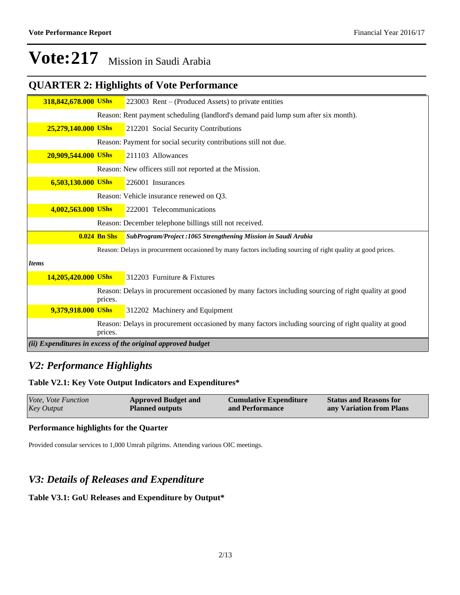### **QUARTER 2: Highlights of Vote Performance**

| 318,842,678.000 UShs |                | 223003 Rent – (Produced Assets) to private entities                                                          |
|----------------------|----------------|--------------------------------------------------------------------------------------------------------------|
|                      |                | Reason: Rent payment scheduling (landlord's demand paid lump sum after six month).                           |
| 25,279,140.000 UShs  |                | 212201 Social Security Contributions                                                                         |
|                      |                | Reason: Payment for social security contributions still not due.                                             |
| 20,909,544.000 UShs  |                | 211103 Allowances                                                                                            |
|                      |                | Reason: New officers still not reported at the Mission.                                                      |
| 6,503,130.000 UShs   |                | 226001 Insurances                                                                                            |
|                      |                | Reason: Vehicle insurance renewed on Q3.                                                                     |
| 4,002,563.000 UShs   |                | 222001 Telecommunications                                                                                    |
|                      |                | Reason: December telephone billings still not received.                                                      |
|                      | $0.024$ Bn Shs | SubProgram/Project: 1065 Strengthening Mission in Saudi Arabia                                               |
|                      |                | Reason: Delays in procurement occasioned by many factors including sourcing of right quality at good prices. |
| <b>Items</b>         |                |                                                                                                              |
| 14,205,420.000 UShs  |                | 312203 Furniture & Fixtures                                                                                  |
|                      | prices.        | Reason: Delays in procurement occasioned by many factors including sourcing of right quality at good         |
| 9,379,918.000 UShs   |                | 312202 Machinery and Equipment                                                                               |
|                      | prices.        | Reason: Delays in procurement occasioned by many factors including sourcing of right quality at good         |
|                      |                | (ii) Expenditures in excess of the original approved budget                                                  |

### *V2: Performance Highlights*

#### **Table V2.1: Key Vote Output Indicators and Expenditures\***

#### **Performance highlights for the Quarter**

Provided consular services to 1,000 Umrah pilgrims. Attending various OIC meetings.

### *V3: Details of Releases and Expenditure*

#### **Table V3.1: GoU Releases and Expenditure by Output\***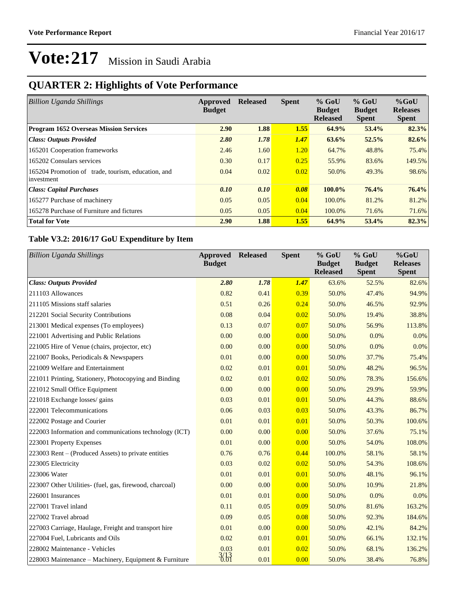## **QUARTER 2: Highlights of Vote Performance**

| <b>Billion Uganda Shillings</b>                                  | Approved<br><b>Budget</b> | <b>Released</b> | <b>Spent</b> | $%$ GoU<br><b>Budget</b><br><b>Released</b> | $%$ GoU<br><b>Budget</b><br><b>Spent</b> | $%$ GoU<br><b>Releases</b><br><b>Spent</b> |
|------------------------------------------------------------------|---------------------------|-----------------|--------------|---------------------------------------------|------------------------------------------|--------------------------------------------|
| <b>Program 1652 Overseas Mission Services</b>                    | 2.90                      | 1.88            | 1.55         | 64.9%                                       | 53.4%                                    | 82.3%                                      |
| <b>Class: Outputs Provided</b>                                   | 2.80                      | 1.78            | 1.47         | 63.6%                                       | 52.5%                                    | 82.6%                                      |
| 165201 Cooperation frameworks                                    | 2.46                      | 1.60            | 1.20         | 64.7%                                       | 48.8%                                    | 75.4%                                      |
| 165202 Consulars services                                        | 0.30                      | 0.17            | 0.25         | 55.9%                                       | 83.6%                                    | 149.5%                                     |
| 165204 Promotion of trade, tourism, education, and<br>investment | 0.04                      | 0.02            | 0.02         | 50.0%                                       | 49.3%                                    | 98.6%                                      |
| <b>Class: Capital Purchases</b>                                  | 0.10                      | 0.10            | 0.08         | $100.0\%$                                   | 76.4%                                    | 76.4%                                      |
| 165277 Purchase of machinery                                     | 0.05                      | 0.05            | 0.04         | 100.0%                                      | 81.2%                                    | 81.2%                                      |
| 165278 Purchase of Furniture and fictures                        | 0.05                      | 0.05            | 0.04         | 100.0%                                      | 71.6%                                    | 71.6%                                      |
| <b>Total for Vote</b>                                            | 2.90                      | 1.88            | 1.55         | 64.9%                                       | 53.4%                                    | 82.3%                                      |

#### **Table V3.2: 2016/17 GoU Expenditure by Item**

| <b>Billion Uganda Shillings</b>                         | <b>Approved</b><br><b>Budget</b> | <b>Released</b> | <b>Spent</b> | % GoU<br><b>Budget</b><br><b>Released</b> | % GoU<br><b>Budget</b><br><b>Spent</b> | %GoU<br><b>Releases</b><br><b>Spent</b> |
|---------------------------------------------------------|----------------------------------|-----------------|--------------|-------------------------------------------|----------------------------------------|-----------------------------------------|
| <b>Class: Outputs Provided</b>                          | 2.80                             | 1.78            | 1.47         | 63.6%                                     | 52.5%                                  | 82.6%                                   |
| 211103 Allowances                                       | 0.82                             | 0.41            | 0.39         | 50.0%                                     | 47.4%                                  | 94.9%                                   |
| 211105 Missions staff salaries                          | 0.51                             | 0.26            | 0.24         | 50.0%                                     | 46.5%                                  | 92.9%                                   |
| 212201 Social Security Contributions                    | 0.08                             | 0.04            | 0.02         | 50.0%                                     | 19.4%                                  | 38.8%                                   |
| 213001 Medical expenses (To employees)                  | 0.13                             | 0.07            | 0.07         | 50.0%                                     | 56.9%                                  | 113.8%                                  |
| 221001 Advertising and Public Relations                 | 0.00                             | 0.00            | 0.00         | 50.0%                                     | 0.0%                                   | 0.0%                                    |
| 221005 Hire of Venue (chairs, projector, etc)           | 0.00                             | 0.00            | 0.00         | 50.0%                                     | 0.0%                                   | 0.0%                                    |
| 221007 Books, Periodicals & Newspapers                  | 0.01                             | 0.00            | 0.00         | 50.0%                                     | 37.7%                                  | 75.4%                                   |
| 221009 Welfare and Entertainment                        | 0.02                             | 0.01            | 0.01         | 50.0%                                     | 48.2%                                  | 96.5%                                   |
| 221011 Printing, Stationery, Photocopying and Binding   | 0.02                             | 0.01            | 0.02         | 50.0%                                     | 78.3%                                  | 156.6%                                  |
| 221012 Small Office Equipment                           | 0.00                             | 0.00            | 0.00         | 50.0%                                     | 29.9%                                  | 59.9%                                   |
| 221018 Exchange losses/ gains                           | 0.03                             | 0.01            | 0.01         | 50.0%                                     | 44.3%                                  | 88.6%                                   |
| 222001 Telecommunications                               | 0.06                             | 0.03            | 0.03         | 50.0%                                     | 43.3%                                  | 86.7%                                   |
| 222002 Postage and Courier                              | 0.01                             | 0.01            | 0.01         | 50.0%                                     | 50.3%                                  | 100.6%                                  |
| 222003 Information and communications technology (ICT)  | 0.00                             | 0.00            | 0.00         | 50.0%                                     | 37.6%                                  | 75.1%                                   |
| 223001 Property Expenses                                | 0.01                             | 0.00            | 0.00         | 50.0%                                     | 54.0%                                  | 108.0%                                  |
| 223003 Rent – (Produced Assets) to private entities     | 0.76                             | 0.76            | 0.44         | 100.0%                                    | 58.1%                                  | 58.1%                                   |
| 223005 Electricity                                      | 0.03                             | 0.02            | 0.02         | 50.0%                                     | 54.3%                                  | 108.6%                                  |
| 223006 Water                                            | 0.01                             | 0.01            | 0.01         | 50.0%                                     | 48.1%                                  | 96.1%                                   |
| 223007 Other Utilities- (fuel, gas, firewood, charcoal) | 0.00                             | 0.00            | 0.00         | 50.0%                                     | 10.9%                                  | 21.8%                                   |
| 226001 Insurances                                       | 0.01                             | 0.01            | 0.00         | 50.0%                                     | 0.0%                                   | 0.0%                                    |
| 227001 Travel inland                                    | 0.11                             | 0.05            | 0.09         | 50.0%                                     | 81.6%                                  | 163.2%                                  |
| 227002 Travel abroad                                    | 0.09                             | 0.05            | 0.08         | 50.0%                                     | 92.3%                                  | 184.6%                                  |
| 227003 Carriage, Haulage, Freight and transport hire    | 0.01                             | 0.00            | 0.00         | 50.0%                                     | 42.1%                                  | 84.2%                                   |
| 227004 Fuel, Lubricants and Oils                        | 0.02                             | 0.01            | 0.01         | 50.0%                                     | 66.1%                                  | 132.1%                                  |
| 228002 Maintenance - Vehicles                           | 0.03                             | 0.01            | 0.02         | 50.0%                                     | 68.1%                                  | 136.2%                                  |
| 228003 Maintenance – Machinery, Equipment & Furniture   | $\frac{3}{13}$                   | 0.01            | 0.00         | 50.0%                                     | 38.4%                                  | 76.8%                                   |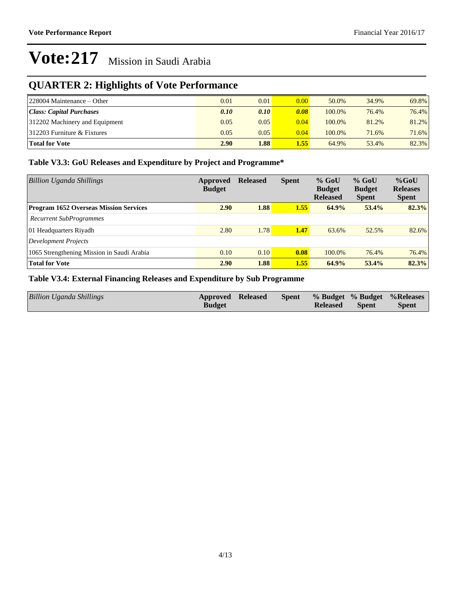## **QUARTER 2: Highlights of Vote Performance**

| $ 228004 \text{ Maintenance} - Other $ | 0.01 | 0.01 | 0.00 <sub>l</sub> | 50.0%  | 34.9% | 69.8%    |
|----------------------------------------|------|------|-------------------|--------|-------|----------|
| Class: Capital Purchases               | 0.10 | 0.10 | 0.08              | 100.0% | 76.4% | $76.4\%$ |
| 312202 Machinery and Equipment         | 0.05 | 0.05 | 0.04              | 100.0% | 81.2% | 81.2%    |
| $ 312203$ Furniture & Fixtures         | 0.05 | 0.05 | 0.04              | 100.0% | 71.6% | 71.6%    |
| <b>Total for Vote</b>                  | 2.90 | 1.88 | 1.55              | 64.9%  | 53.4% | 82.3%    |

### **Table V3.3: GoU Releases and Expenditure by Project and Programme\***

| <b>Billion Uganda Shillings</b>               | Approved<br><b>Budget</b> | <b>Released</b> | <b>Spent</b> | $%$ GoU<br><b>Budget</b><br><b>Released</b> | $%$ GoU<br><b>Budget</b><br><b>Spent</b> | $%$ GoU<br><b>Releases</b><br><b>Spent</b> |
|-----------------------------------------------|---------------------------|-----------------|--------------|---------------------------------------------|------------------------------------------|--------------------------------------------|
| <b>Program 1652 Overseas Mission Services</b> | 2.90                      | 1.88            | 1.55         | 64.9%                                       | 53.4%                                    | 82.3%                                      |
| <b>Recurrent SubProgrammes</b>                |                           |                 |              |                                             |                                          |                                            |
| 01 Headquarters Riyadh                        | 2.80                      | 1.78            | 1.47         | 63.6%                                       | 52.5%                                    | 82.6%                                      |
| Development Projects                          |                           |                 |              |                                             |                                          |                                            |
| 1065 Strengthening Mission in Saudi Arabia    | 0.10                      | 0.10            | 0.08         | 100.0%                                      | 76.4%                                    | 76.4%                                      |
| <b>Total for Vote</b>                         | 2.90                      | 1.88            | 1.55         | 64.9%                                       | 53.4%                                    | 82.3%                                      |

#### **Table V3.4: External Financing Releases and Expenditure by Sub Programme**

| Billion Uganda Shillings<br><b>Approved Released</b><br><b>Budget</b> |  | Spent % Budget % Budget % Releases<br>Spent<br><b>Released</b> | <b>Spent</b> |
|-----------------------------------------------------------------------|--|----------------------------------------------------------------|--------------|
|-----------------------------------------------------------------------|--|----------------------------------------------------------------|--------------|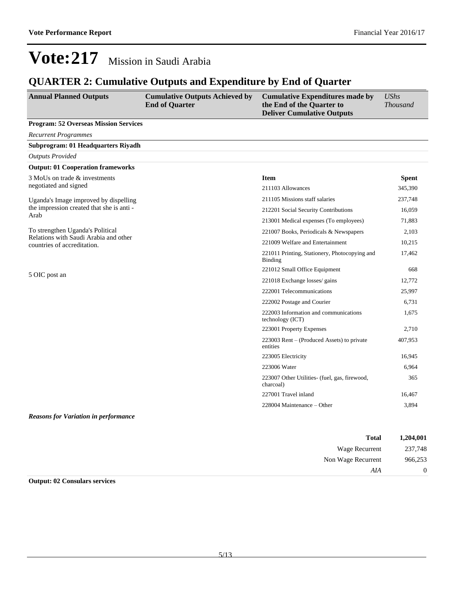### **QUARTER 2: Cumulative Outputs and Expenditure by End of Quarter**

| <b>Annual Planned Outputs</b>                                        | <b>Cumulative Outputs Achieved by</b><br><b>End of Quarter</b> | <b>Cumulative Expenditures made by</b><br>the End of the Quarter to<br><b>Deliver Cumulative Outputs</b> | <b>UShs</b><br><b>Thousand</b> |
|----------------------------------------------------------------------|----------------------------------------------------------------|----------------------------------------------------------------------------------------------------------|--------------------------------|
| <b>Program: 52 Overseas Mission Services</b>                         |                                                                |                                                                                                          |                                |
| <b>Recurrent Programmes</b>                                          |                                                                |                                                                                                          |                                |
| Subprogram: 01 Headquarters Riyadh                                   |                                                                |                                                                                                          |                                |
| <b>Outputs Provided</b>                                              |                                                                |                                                                                                          |                                |
| <b>Output: 01 Cooperation frameworks</b>                             |                                                                |                                                                                                          |                                |
| 3 MoUs on trade & investments                                        |                                                                | <b>Item</b>                                                                                              | <b>Spent</b>                   |
| negotiated and signed                                                |                                                                | 211103 Allowances                                                                                        | 345,390                        |
| Uganda's Image improved by dispelling                                |                                                                | 211105 Missions staff salaries                                                                           | 237,748                        |
| the impression created that she is anti-                             |                                                                | 212201 Social Security Contributions                                                                     | 16,059                         |
| Arab                                                                 |                                                                | 213001 Medical expenses (To employees)                                                                   | 71,883                         |
| To strengthen Uganda's Political                                     |                                                                | 221007 Books, Periodicals & Newspapers                                                                   | 2,103                          |
| Relations with Saudi Arabia and other<br>countries of accreditation. |                                                                | 221009 Welfare and Entertainment                                                                         | 10,215                         |
|                                                                      |                                                                | 221011 Printing, Stationery, Photocopying and<br><b>Binding</b>                                          | 17,462                         |
| 5 OIC post an                                                        |                                                                | 221012 Small Office Equipment                                                                            | 668                            |
|                                                                      |                                                                | 221018 Exchange losses/ gains                                                                            | 12,772                         |
|                                                                      |                                                                | 222001 Telecommunications                                                                                | 25,997                         |
|                                                                      |                                                                | 222002 Postage and Courier                                                                               | 6,731                          |
|                                                                      |                                                                | 222003 Information and communications<br>technology (ICT)                                                | 1.675                          |
|                                                                      |                                                                | 223001 Property Expenses                                                                                 | 2,710                          |
|                                                                      |                                                                | 223003 Rent – (Produced Assets) to private<br>entities                                                   | 407,953                        |
|                                                                      |                                                                | 223005 Electricity                                                                                       | 16,945                         |
|                                                                      |                                                                | 223006 Water                                                                                             | 6,964                          |
|                                                                      |                                                                | 223007 Other Utilities- (fuel, gas, firewood,<br>charcoal)                                               | 365                            |
|                                                                      |                                                                | 227001 Travel inland                                                                                     | 16,467                         |
|                                                                      |                                                                | 228004 Maintenance – Other                                                                               | 3,894                          |
| <b>Reasons for Variation in performance</b>                          |                                                                |                                                                                                          |                                |

| 1,204,001 | <b>Total</b>       |
|-----------|--------------------|
| 237,748   | Wage Recurrent     |
| 966,253   | Non Wage Recurrent |
| 0         | AIA                |
|           |                    |

#### **Output: 02 Consulars services**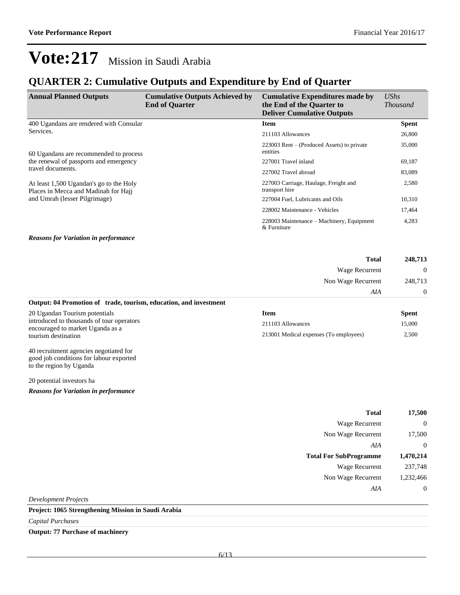### **QUARTER 2: Cumulative Outputs and Expenditure by End of Quarter**

| <b>Annual Planned Outputs</b>                                                   | <b>Cumulative Outputs Achieved by</b><br><b>End of Quarter</b> | <b>Cumulative Expenditures made by</b><br>the End of the Quarter to<br><b>Deliver Cumulative Outputs</b> | $\mathit{UShs}$<br><i>Thousand</i> |
|---------------------------------------------------------------------------------|----------------------------------------------------------------|----------------------------------------------------------------------------------------------------------|------------------------------------|
| 400 Ugandans are rendered with Consular                                         |                                                                | <b>Item</b>                                                                                              | <b>Spent</b>                       |
| Services.                                                                       |                                                                | 211103 Allowances                                                                                        | 26,800                             |
| 60 Ugandans are recommended to process                                          |                                                                | $223003$ Rent – (Produced Assets) to private<br>entities                                                 | 35,000                             |
| the renewal of passports and emergency                                          |                                                                | 227001 Travel inland                                                                                     | 69,187                             |
| travel documents.                                                               |                                                                | 227002 Travel abroad                                                                                     | 83,089                             |
| At least 1,500 Ugandan's go to the Holy<br>Places in Mecca and Madinah for Hajj |                                                                | 227003 Carriage, Haulage, Freight and<br>transport hire                                                  | 2,580                              |
| and Umrah (lesser Pilgrimage)                                                   |                                                                | 227004 Fuel, Lubricants and Oils                                                                         | 10,310                             |
|                                                                                 |                                                                | 228002 Maintenance - Vehicles                                                                            | 17,464                             |
|                                                                                 |                                                                | 228003 Maintenance – Machinery, Equipment<br>& Furniture                                                 | 4,283                              |
| .                                                                               |                                                                |                                                                                                          |                                    |

#### *Reasons for Variation in performance*

| <b>Total</b>          | 248,713        |
|-----------------------|----------------|
| <b>Wage Recurrent</b> | $\overline{0}$ |
| Non Wage Recurrent    | 248,713        |
| AIA                   | $\theta$       |

#### **Output: 04 Promotion of trade, tourism, education, and investment**

| 20 Ugandan Tourism potentials                                                 | Item                                   | Spent  |
|-------------------------------------------------------------------------------|----------------------------------------|--------|
| introduced to thousands of tour operators<br>encouraged to market Uganda as a | 211103 Allowances                      | 15.000 |
| tourism destination                                                           | 213001 Medical expenses (To employees) | 2.500  |
|                                                                               |                                        |        |

40 recruitment agencies negotiated for good job conditions for labour exported to the region by Uganda

20 potential investors ha

*Reasons for Variation in performance*

| 17,500           | <b>Total</b>                  |
|------------------|-------------------------------|
| $\boldsymbol{0}$ | Wage Recurrent                |
| 17,500           | Non Wage Recurrent            |
| $\theta$         | AIA                           |
| 1,470,214        | <b>Total For SubProgramme</b> |
| 237,748          | Wage Recurrent                |
| 1,232,466        | Non Wage Recurrent            |
| $\boldsymbol{0}$ | AIA                           |
|                  |                               |

*Development Projects*

**Project: 1065 Strengthening Mission in Saudi Arabia**

*Capital Purchases*

**Output: 77 Purchase of machinery**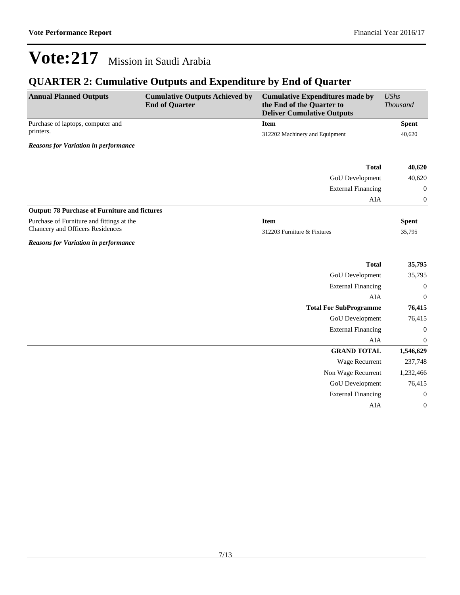## **QUARTER 2: Cumulative Outputs and Expenditure by End of Quarter**

| <b>Annual Planned Outputs</b>                        | <b>Cumulative Outputs Achieved by</b><br><b>End of Quarter</b> | <b>Cumulative Expenditures made by</b><br>the End of the Quarter to<br><b>Deliver Cumulative Outputs</b> | <b>UShs</b><br>Thousand |
|------------------------------------------------------|----------------------------------------------------------------|----------------------------------------------------------------------------------------------------------|-------------------------|
| Purchase of laptops, computer and                    |                                                                | <b>Item</b>                                                                                              | <b>Spent</b>            |
| printers.                                            |                                                                | 312202 Machinery and Equipment                                                                           | 40,620                  |
| <b>Reasons for Variation in performance</b>          |                                                                |                                                                                                          |                         |
|                                                      |                                                                | <b>Total</b>                                                                                             | 40,620                  |
|                                                      |                                                                | GoU Development                                                                                          | 40,620                  |
|                                                      |                                                                | <b>External Financing</b>                                                                                | $\mathbf{0}$            |
|                                                      |                                                                | AIA                                                                                                      | $\boldsymbol{0}$        |
| <b>Output: 78 Purchase of Furniture and fictures</b> |                                                                |                                                                                                          |                         |
| Purchase of Furniture and fittings at the            |                                                                | <b>Item</b>                                                                                              | <b>Spent</b>            |
| Chancery and Officers Residences                     |                                                                | 312203 Furniture & Fixtures                                                                              | 35,795                  |
| <b>Reasons for Variation in performance</b>          |                                                                |                                                                                                          |                         |
|                                                      |                                                                | <b>Total</b>                                                                                             | 35,795                  |
|                                                      |                                                                | GoU Development                                                                                          | 35,795                  |
|                                                      |                                                                | <b>External Financing</b>                                                                                | $\boldsymbol{0}$        |
|                                                      |                                                                | AIA                                                                                                      | $\boldsymbol{0}$        |
|                                                      |                                                                | <b>Total For SubProgramme</b>                                                                            | 76,415                  |
|                                                      |                                                                | GoU Development                                                                                          | 76,415                  |
|                                                      |                                                                | <b>External Financing</b>                                                                                | $\mathbf{0}$            |
|                                                      |                                                                | <b>AIA</b>                                                                                               | $\boldsymbol{0}$        |
|                                                      |                                                                | <b>GRAND TOTAL</b>                                                                                       | 1,546,629               |
|                                                      |                                                                | Wage Recurrent                                                                                           | 237,748                 |
|                                                      |                                                                | Non Wage Recurrent                                                                                       | 1,232,466               |
|                                                      |                                                                | GoU Development                                                                                          | 76,415                  |
|                                                      |                                                                | <b>External Financing</b>                                                                                | $\boldsymbol{0}$        |
|                                                      |                                                                | AIA                                                                                                      | $\boldsymbol{0}$        |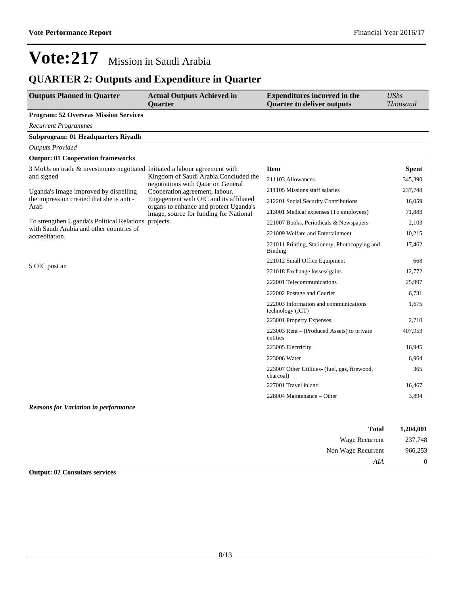## **QUARTER 2: Outputs and Expenditure in Quarter**

| <b>Outputs Planned in Quarter</b>                                          | <b>Actual Outputs Achieved in</b><br><b>Ouarter</b>                              | <b>Expenditures incurred in the</b><br><b>Quarter to deliver outputs</b> | <b>UShs</b><br><b>Thousand</b> |
|----------------------------------------------------------------------------|----------------------------------------------------------------------------------|--------------------------------------------------------------------------|--------------------------------|
| <b>Program: 52 Overseas Mission Services</b>                               |                                                                                  |                                                                          |                                |
| <b>Recurrent Programmes</b>                                                |                                                                                  |                                                                          |                                |
| Subprogram: 01 Headquarters Riyadh                                         |                                                                                  |                                                                          |                                |
| <b>Outputs Provided</b>                                                    |                                                                                  |                                                                          |                                |
| <b>Output: 01 Cooperation frameworks</b>                                   |                                                                                  |                                                                          |                                |
| 3 MoUs on trade & investments negotiated Initiated a labour agreement with |                                                                                  | <b>Item</b>                                                              | <b>Spent</b>                   |
| and signed                                                                 | Kingdom of Saudi Arabia.Concluded the<br>negotiations with Qatar on General      | 211103 Allowances                                                        | 345,390                        |
| Uganda's Image improved by dispelling                                      | Cooperation, agreement, labour.                                                  | 211105 Missions staff salaries                                           | 237,748                        |
| the impression created that she is anti-                                   | Engagement with OIC and its affiliated                                           | 212201 Social Security Contributions                                     | 16,059                         |
| Arab                                                                       | organs to enhance and protect Uganda's<br>image, source for funding for National | 213001 Medical expenses (To employees)                                   | 71,883                         |
| To strengthen Uganda's Political Relations projects.                       |                                                                                  | 221007 Books, Periodicals & Newspapers                                   | 2,103                          |
| with Saudi Arabia and other countries of<br>accreditation.                 |                                                                                  | 221009 Welfare and Entertainment                                         | 10,215                         |
|                                                                            |                                                                                  | 221011 Printing, Stationery, Photocopying and<br><b>Binding</b>          | 17,462                         |
|                                                                            |                                                                                  | 221012 Small Office Equipment                                            | 668                            |
| 5 OIC post an                                                              |                                                                                  | 221018 Exchange losses/ gains                                            | 12,772                         |
|                                                                            |                                                                                  | 222001 Telecommunications                                                | 25,997                         |
|                                                                            |                                                                                  | 222002 Postage and Courier                                               | 6.731                          |
|                                                                            |                                                                                  | 222003 Information and communications<br>technology (ICT)                | 1.675                          |
|                                                                            |                                                                                  | 223001 Property Expenses                                                 | 2,710                          |
|                                                                            |                                                                                  | $223003$ Rent – (Produced Assets) to private<br>entities                 | 407,953                        |
|                                                                            |                                                                                  | 223005 Electricity                                                       | 16,945                         |
|                                                                            |                                                                                  | 223006 Water                                                             | 6,964                          |
|                                                                            |                                                                                  | 223007 Other Utilities- (fuel, gas, firewood,<br>charcoal)               | 365                            |
|                                                                            |                                                                                  | 227001 Travel inland                                                     | 16,467                         |
|                                                                            |                                                                                  | 228004 Maintenance – Other                                               | 3,894                          |
| $\mathbf{r}$ and $\mathbf{r}$ and $\mathbf{r}$                             |                                                                                  |                                                                          |                                |

| 1,204,001 | Total              |
|-----------|--------------------|
| 237,748   | Wage Recurrent     |
| 966,253   | Non Wage Recurrent |
| $\theta$  | AIA                |

#### **Output: 02 Consulars services**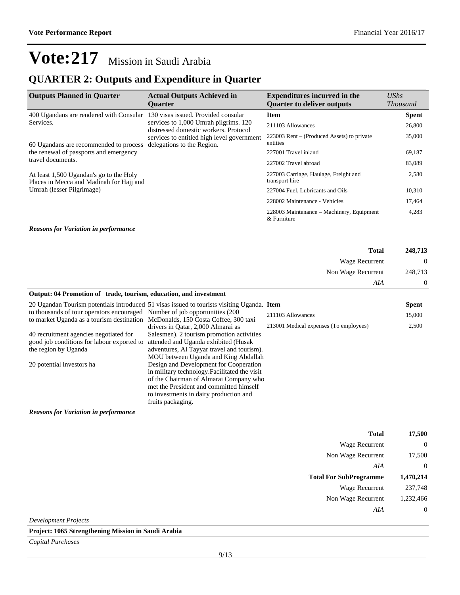### **QUARTER 2: Outputs and Expenditure in Quarter**

| <b>Outputs Planned in Quarter</b>                                                   | <b>Actual Outputs Achieved in</b><br><b>Ouarter</b>                            | <b>Expenditures incurred in the</b><br><b>Quarter to deliver outputs</b> | $\mathit{UShs}$<br><b>Thousand</b> |
|-------------------------------------------------------------------------------------|--------------------------------------------------------------------------------|--------------------------------------------------------------------------|------------------------------------|
| 400 Ugandans are rendered with Consular 130 visas issued. Provided consular         |                                                                                | <b>Item</b>                                                              | <b>Spent</b>                       |
| Services.                                                                           | services to 1,000 Umrah pilgrims. 120<br>distressed domestic workers. Protocol | 211103 Allowances                                                        | 26,800                             |
| 60 Ugandans are recommended to process                                              | services to entitled high level government<br>delegations to the Region.       | 223003 Rent – (Produced Assets) to private<br>entities                   | 35,000                             |
| the renewal of passports and emergency                                              |                                                                                | 227001 Travel inland                                                     | 69,187                             |
| travel documents.                                                                   |                                                                                | 227002 Travel abroad                                                     | 83,089                             |
| At least 1,500 Ugandan's go to the Holy<br>Places in Mecca and Madinah for Hajj and |                                                                                | 227003 Carriage, Haulage, Freight and<br>transport hire                  | 2,580                              |
| Umrah (lesser Pilgrimage)                                                           |                                                                                | 227004 Fuel, Lubricants and Oils                                         | 10,310                             |
|                                                                                     |                                                                                | 228002 Maintenance - Vehicles                                            | 17.464                             |
|                                                                                     |                                                                                | 228003 Maintenance – Machinery, Equipment<br>& Furniture                 | 4,283                              |

#### *Reasons for Variation in performance*

| 248,713 | <b>Total</b>       |
|---------|--------------------|
| U       | Wage Recurrent     |
| 248,713 | Non Wage Recurrent |
| v       | AIA                |

#### **Output: 04 Promotion of trade, tourism, education, and investment**

|                                                                                                                                                                | 20 Ugandan Tourism potentials introduced 51 visas issued to tourists visiting Uganda. <b>Item</b> |                                        | Spent  |
|----------------------------------------------------------------------------------------------------------------------------------------------------------------|---------------------------------------------------------------------------------------------------|----------------------------------------|--------|
| to thousands of tour operators encouraged Number of job opportunities (200)<br>to market Uganda as a tourism destination McDonalds, 150 Costa Coffee, 300 taxi |                                                                                                   | 211103 Allowances                      | 15,000 |
|                                                                                                                                                                | drivers in Oatar, 2,000 Almarai as                                                                | 213001 Medical expenses (To employees) | 2,500  |
| 40 recruitment agencies negotiated for                                                                                                                         | Salesmen). 2 tourism promotion activities                                                         |                                        |        |
| good job conditions for labour exported to                                                                                                                     | attended and Uganda exhibited (Husak                                                              |                                        |        |
| the region by Uganda                                                                                                                                           | adventures, Al Tayyar travel and tourism).                                                        |                                        |        |
|                                                                                                                                                                | MOU between Uganda and King Abdallah                                                              |                                        |        |
| 20 potential investors ha                                                                                                                                      | Design and Development for Cooperation                                                            |                                        |        |
|                                                                                                                                                                | in military technology. Facilitated the visit                                                     |                                        |        |
|                                                                                                                                                                | of the Chairman of Almarai Company who                                                            |                                        |        |
|                                                                                                                                                                | met the President and committed himself                                                           |                                        |        |
|                                                                                                                                                                | to investments in dairy production and                                                            |                                        |        |
|                                                                                                                                                                | fruits packaging.                                                                                 |                                        |        |
| <b>Reasons for Variation in performance</b>                                                                                                                    |                                                                                                   |                                        |        |

| Total                         | 17,500    |
|-------------------------------|-----------|
| Wage Recurrent                | 0         |
| Non Wage Recurrent            | 17,500    |
| AIA                           | $\theta$  |
|                               |           |
| <b>Total For SubProgramme</b> | 1,470,214 |
| <b>Wage Recurrent</b>         | 237,748   |
| Non Wage Recurrent            | 1,232,466 |

*Development Projects*

**Project: 1065 Strengthening Mission in Saudi Arabia**

*Capital Purchases*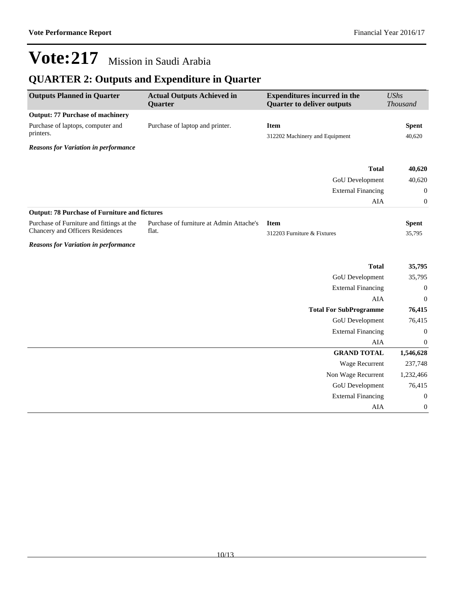## **QUARTER 2: Outputs and Expenditure in Quarter**

| <b>Outputs Planned in Quarter</b>                    | <b>Actual Outputs Achieved in</b><br>Quarter | <b>Expenditures incurred in the</b><br><b>Quarter to deliver outputs</b> | <b>UShs</b><br><b>Thousand</b> |  |
|------------------------------------------------------|----------------------------------------------|--------------------------------------------------------------------------|--------------------------------|--|
| <b>Output: 77 Purchase of machinery</b>              |                                              |                                                                          |                                |  |
| Purchase of laptops, computer and<br>printers.       | Purchase of laptop and printer.              | <b>Item</b>                                                              | <b>Spent</b>                   |  |
|                                                      |                                              | 312202 Machinery and Equipment                                           | 40,620                         |  |
| <b>Reasons for Variation in performance</b>          |                                              |                                                                          |                                |  |
|                                                      |                                              | <b>Total</b>                                                             | 40,620                         |  |
|                                                      |                                              | GoU Development                                                          | 40,620                         |  |
|                                                      |                                              | <b>External Financing</b>                                                | $\mathbf{0}$                   |  |
|                                                      |                                              | <b>AIA</b>                                                               | $\boldsymbol{0}$               |  |
| <b>Output: 78 Purchase of Furniture and fictures</b> |                                              |                                                                          |                                |  |
| Purchase of Furniture and fittings at the            | Purchase of furniture at Admin Attache's     | <b>Item</b>                                                              | <b>Spent</b>                   |  |
| <b>Chancery and Officers Residences</b>              | flat.                                        | 312203 Furniture & Fixtures                                              | 35,795                         |  |
| <b>Reasons for Variation in performance</b>          |                                              |                                                                          |                                |  |
|                                                      |                                              | <b>Total</b>                                                             | 35,795                         |  |
|                                                      |                                              | <b>GoU</b> Development                                                   | 35,795                         |  |
|                                                      |                                              | <b>External Financing</b>                                                | $\boldsymbol{0}$               |  |
|                                                      |                                              | <b>AIA</b>                                                               | $\mathbf{0}$                   |  |
|                                                      |                                              | <b>Total For SubProgramme</b>                                            | 76,415                         |  |
|                                                      |                                              | GoU Development                                                          | 76,415                         |  |
|                                                      |                                              | <b>External Financing</b>                                                | $\boldsymbol{0}$               |  |
|                                                      |                                              | <b>AIA</b>                                                               | $\mathbf{0}$                   |  |
|                                                      |                                              | <b>GRAND TOTAL</b>                                                       | 1,546,628                      |  |
|                                                      |                                              | Wage Recurrent                                                           | 237,748                        |  |
|                                                      |                                              | Non Wage Recurrent                                                       | 1,232,466                      |  |
|                                                      |                                              | <b>GoU</b> Development                                                   | 76,415                         |  |
|                                                      |                                              | <b>External Financing</b>                                                | $\mathbf{0}$                   |  |
|                                                      |                                              | <b>AIA</b>                                                               | $\boldsymbol{0}$               |  |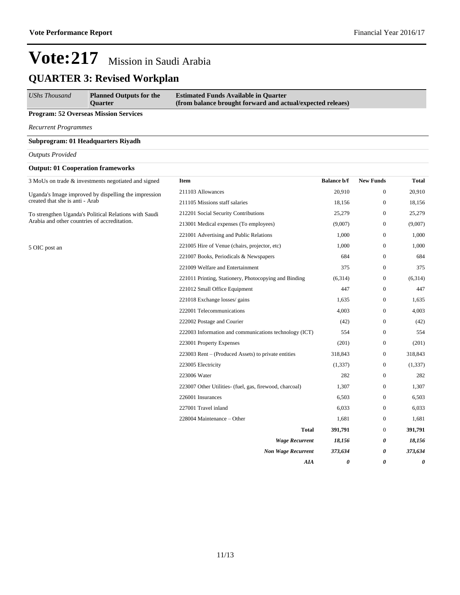### **QUARTER 3: Revised Workplan**

| <b>Ouarter</b> | <b>UShs Thousand</b> | <b>Planned Outputs for the</b> | <b>Estimated Funds Available in Quarter</b><br>(from balance brought forward and actual/expected releaes) |
|----------------|----------------------|--------------------------------|-----------------------------------------------------------------------------------------------------------|
|----------------|----------------------|--------------------------------|-----------------------------------------------------------------------------------------------------------|

#### **Program: 52 Overseas Mission Services**

*Recurrent Programmes*

#### **Subprogram: 01 Headquarters Riyadh**

#### *Outputs Provided*

#### **Output: 01 Cooperation frameworks**

| 3 MoUs on trade & investments negotiated and signed                                     | <b>Item</b>                                             | <b>Balance b/f</b> | <b>New Funds</b> | <b>Total</b> |
|-----------------------------------------------------------------------------------------|---------------------------------------------------------|--------------------|------------------|--------------|
| Uganda's Image improved by dispelling the impression<br>created that she is anti - Arab | 211103 Allowances                                       | 20,910             | $\theta$         | 20,910       |
|                                                                                         | 211105 Missions staff salaries                          | 18,156             | $\boldsymbol{0}$ | 18,156       |
| To strengthen Uganda's Political Relations with Saudi                                   | 212201 Social Security Contributions                    | 25,279             | $\boldsymbol{0}$ | 25,279       |
| Arabia and other countries of accreditation.                                            | 213001 Medical expenses (To employees)                  | (9,007)            | $\mathbf{0}$     | (9,007)      |
|                                                                                         | 221001 Advertising and Public Relations                 | 1,000              | $\mathbf{0}$     | 1,000        |
| 5 OIC post an                                                                           | 221005 Hire of Venue (chairs, projector, etc)           | 1,000              | $\boldsymbol{0}$ | 1,000        |
|                                                                                         | 221007 Books, Periodicals & Newspapers                  | 684                | $\mathbf{0}$     | 684          |
|                                                                                         | 221009 Welfare and Entertainment                        | 375                | $\mathbf{0}$     | 375          |
|                                                                                         | 221011 Printing, Stationery, Photocopying and Binding   | (6,314)            | $\boldsymbol{0}$ | (6,314)      |
|                                                                                         | 221012 Small Office Equipment                           | 447                | $\mathbf{0}$     | 447          |
|                                                                                         | 221018 Exchange losses/ gains                           | 1,635              | $\boldsymbol{0}$ | 1,635        |
|                                                                                         | 222001 Telecommunications                               | 4,003              | $\mathbf{0}$     | 4,003        |
|                                                                                         | 222002 Postage and Courier                              | (42)               | $\mathbf{0}$     | (42)         |
|                                                                                         | 222003 Information and communications technology (ICT)  | 554                | $\mathbf{0}$     | 554          |
|                                                                                         | 223001 Property Expenses                                | (201)              | $\mathbf{0}$     | (201)        |
|                                                                                         | 223003 Rent – (Produced Assets) to private entities     | 318,843            | $\mathbf{0}$     | 318,843      |
|                                                                                         | 223005 Electricity                                      | (1, 337)           | $\mathbf{0}$     | (1, 337)     |
|                                                                                         | 223006 Water                                            | 282                | $\mathbf{0}$     | 282          |
|                                                                                         | 223007 Other Utilities- (fuel, gas, firewood, charcoal) | 1,307              | $\theta$         | 1,307        |
|                                                                                         | 226001 Insurances                                       | 6,503              | $\mathbf{0}$     | 6,503        |
|                                                                                         | 227001 Travel inland                                    | 6,033              | $\mathbf{0}$     | 6,033        |
|                                                                                         | 228004 Maintenance - Other                              | 1,681              | $\mathbf{0}$     | 1,681        |
|                                                                                         | <b>Total</b>                                            | 391,791            | $\boldsymbol{0}$ | 391,791      |
|                                                                                         | <b>Wage Recurrent</b>                                   | 18,156             | 0                | 18,156       |
|                                                                                         | <b>Non Wage Recurrent</b>                               | 373,634            | 0                | 373,634      |
|                                                                                         | AIA                                                     | 0                  | 0                | 0            |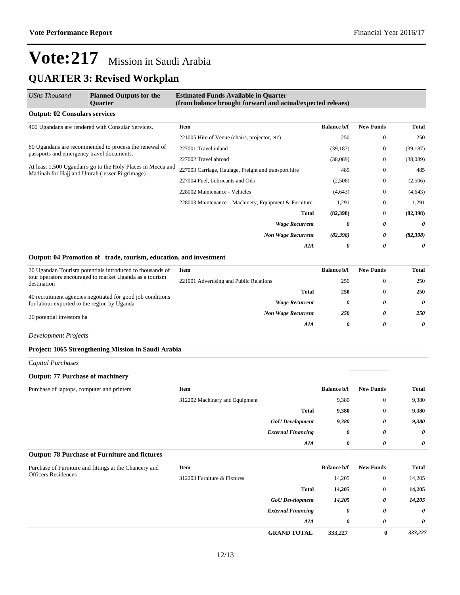## **QUARTER 3: Revised Workplan**

| UShs Thousand                                                                                                                      | <b>Planned Outputs for the</b><br><b>Ouarter</b>                  | <b>Estimated Funds Available in Quarter</b><br>(from balance brought forward and actual/expected releaes) |                    |                       |              |
|------------------------------------------------------------------------------------------------------------------------------------|-------------------------------------------------------------------|-----------------------------------------------------------------------------------------------------------|--------------------|-----------------------|--------------|
| <b>Output: 02 Consulars services</b>                                                                                               |                                                                   |                                                                                                           |                    |                       |              |
|                                                                                                                                    | 400 Ugandans are rendered with Consular Services.                 | <b>Item</b>                                                                                               | <b>Balance b/f</b> | <b>New Funds</b>      | <b>Total</b> |
|                                                                                                                                    |                                                                   | 221005 Hire of Venue (chairs, projector, etc)                                                             | 250                | $\boldsymbol{0}$      | 250          |
|                                                                                                                                    | 60 Ugandans are recommended to process the renewal of             | 227001 Travel inland                                                                                      | (39, 187)          | $\mathbf{0}$          | (39, 187)    |
| passports and emergency travel documents.                                                                                          | 227002 Travel abroad                                              | (38,089)                                                                                                  | $\mathbf{0}$       | (38,089)              |              |
| At least 1,500 Ugandan's go to the Holy Places in Mecca and<br>Madinah for Hajj and Umrah (lesser Pilgrimage)                      | 227003 Carriage, Haulage, Freight and transport hire              | 485                                                                                                       | $\mathbf{0}$       | 485                   |              |
|                                                                                                                                    | 227004 Fuel, Lubricants and Oils                                  | (2,506)                                                                                                   | $\mathbf{0}$       | (2,506)               |              |
|                                                                                                                                    | 228002 Maintenance - Vehicles                                     | (4,643)                                                                                                   | $\mathbf{0}$       | (4, 643)              |              |
|                                                                                                                                    |                                                                   | 228003 Maintenance – Machinery, Equipment & Furniture                                                     | 1,291              | $\mathbf{0}$          | 1,291        |
|                                                                                                                                    |                                                                   | <b>Total</b>                                                                                              | (82,398)           | $\mathbf{0}$          | (82,398)     |
|                                                                                                                                    |                                                                   | <b>Wage Recurrent</b>                                                                                     | 0                  | 0                     | 0            |
|                                                                                                                                    |                                                                   | <b>Non Wage Recurrent</b>                                                                                 | (82, 398)          | 0                     | (82,398)     |
|                                                                                                                                    |                                                                   | AIA                                                                                                       | 0                  | 0                     | 0            |
|                                                                                                                                    | Output: 04 Promotion of trade, tourism, education, and investment |                                                                                                           |                    |                       |              |
| 20 Ugandan Tourism potentials introduced to thousands of<br>tour operators encouraged to market Uganda as a tourism<br>destination | <b>Item</b>                                                       | <b>Balance b/f</b>                                                                                        | <b>New Funds</b>   | <b>Total</b>          |              |
|                                                                                                                                    | 221001 Advertising and Public Relations                           | 250                                                                                                       | $\boldsymbol{0}$   | 250                   |              |
|                                                                                                                                    |                                                                   | <b>Total</b>                                                                                              | 250                | $\mathbf{0}$          | 250          |
| 40 recruitment agencies negotiated for good job conditions<br>for labour exported to the region by Uganda                          | <b>Wage Recurrent</b>                                             | 0                                                                                                         | 0                  | $\boldsymbol{\theta}$ |              |
| 20 potential investors ha                                                                                                          |                                                                   | <b>Non Wage Recurrent</b>                                                                                 | <b>250</b>         | 0                     | 250          |
|                                                                                                                                    |                                                                   | <b>AIA</b>                                                                                                | 0                  | 0                     | 0            |
| <b>Development Projects</b>                                                                                                        |                                                                   |                                                                                                           |                    |                       |              |
|                                                                                                                                    | Project: 1065 Strengthening Mission in Saudi Arabia               |                                                                                                           |                    |                       |              |
| <b>Capital Purchases</b>                                                                                                           |                                                                   |                                                                                                           |                    |                       |              |
| <b>Output: 77 Purchase of machinery</b>                                                                                            |                                                                   |                                                                                                           |                    |                       |              |
| Purchase of laptops, computer and printers.                                                                                        |                                                                   | <b>Item</b>                                                                                               | <b>Balance b/f</b> | <b>New Funds</b>      | Total        |
|                                                                                                                                    |                                                                   | 312202 Machinery and Equipment                                                                            | 9,380              | $\mathbf{0}$          | 9,380        |
|                                                                                                                                    |                                                                   | <b>Total</b>                                                                                              | 9,380              | $\mathbf{0}$          | 9,380        |
|                                                                                                                                    |                                                                   | <b>GoU</b> Development                                                                                    | 9,380              | 0                     | 9,380        |
|                                                                                                                                    |                                                                   | <b>External Financing</b>                                                                                 | 0                  | 0                     | 0            |
|                                                                                                                                    |                                                                   | <b>AIA</b>                                                                                                | 0                  | 0                     | 0            |
|                                                                                                                                    | <b>Output: 78 Purchase of Furniture and fictures</b>              |                                                                                                           |                    |                       |              |
|                                                                                                                                    | Purchase of Furniture and fittings at the Chancery and            | <b>Item</b>                                                                                               | <b>Balance b/f</b> | <b>New Funds</b>      | <b>Total</b> |
| <b>Officers Residences</b>                                                                                                         |                                                                   | 312203 Furniture & Fixtures                                                                               | 14,205             | $\boldsymbol{0}$      | 14,205       |
|                                                                                                                                    |                                                                   | <b>Total</b>                                                                                              | 14,205             | $\mathbf{0}$          | 14,205       |
|                                                                                                                                    |                                                                   | <b>GoU</b> Development                                                                                    | 14,205             | 0                     | 14,205       |
|                                                                                                                                    |                                                                   | <b>External Financing</b>                                                                                 | 0                  | 0                     | 0            |
|                                                                                                                                    |                                                                   | AIA                                                                                                       | 0                  | 0                     | 0            |
|                                                                                                                                    |                                                                   | <b>GRAND TOTAL</b>                                                                                        | 333,227            | $\bf{0}$              | 333,227      |